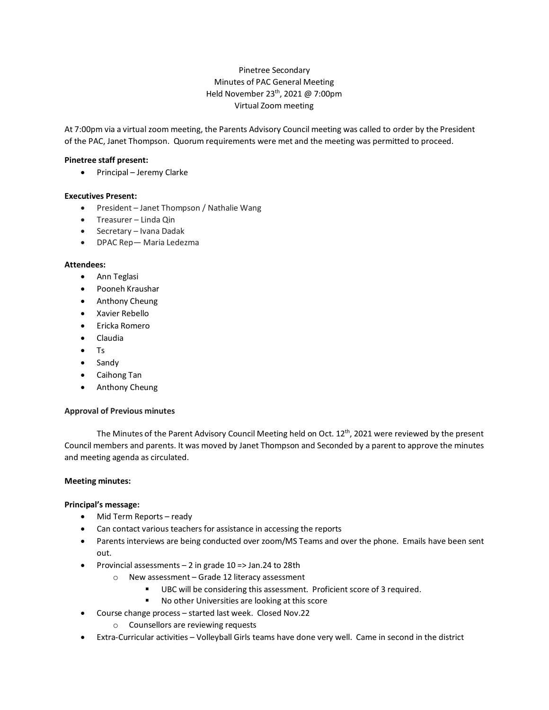# Pinetree Secondary Minutes of PAC General Meeting Held November 23th, 2021 @ 7:00pm Virtual Zoom meeting

At 7:00pm via a virtual zoom meeting, the Parents Advisory Council meeting was called to order by the President of the PAC, Janet Thompson. Quorum requirements were met and the meeting was permitted to proceed.

## **Pinetree staff present:**

• Principal – Jeremy Clarke

## **Executives Present:**

- President Janet Thompson / Nathalie Wang
- Treasurer Linda Qin
- Secretary Ivana Dadak
- DPAC Rep— Maria Ledezma

## **Attendees:**

- Ann Teglasi
- Pooneh Kraushar
- Anthony Cheung
- Xavier Rebello
- Ericka Romero
- Claudia
- Ts
- Sandy
- Caihong Tan
- Anthony Cheung

## **Approval of Previous minutes**

The Minutes of the Parent Advisory Council Meeting held on Oct.  $12^{th}$ , 2021 were reviewed by the present Council members and parents. It was moved by Janet Thompson and Seconded by a parent to approve the minutes and meeting agenda as circulated.

## **Meeting minutes:**

## **Principal's message:**

- Mid Term Reports ready
- Can contact various teachers for assistance in accessing the reports
- Parents interviews are being conducted over zoom/MS Teams and over the phone. Emails have been sent out.
- Provincial assessments 2 in grade 10 => Jan.24 to 28th
	- o New assessment Grade 12 literacy assessment
		- UBC will be considering this assessment. Proficient score of 3 required.
		- No other Universities are looking at this score
- Course change process started last week. Closed Nov.22
	- o Counsellors are reviewing requests
- Extra-Curricular activities Volleyball Girls teams have done very well. Came in second in the district